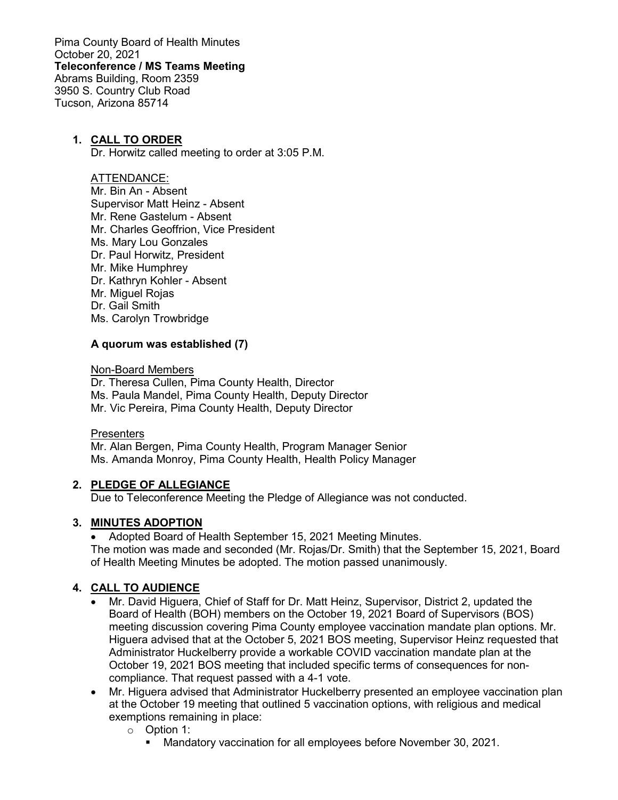Pima County Board of Health Minutes October 20, 2021 **Teleconference / MS Teams Meeting** Abrams Building, Room 2359 3950 S. Country Club Road Tucson, Arizona 85714

### **1. CALL TO ORDER**

Dr. Horwitz called meeting to order at 3:05 P.M.

#### ATTENDANCE:

Mr. Bin An - Absent Supervisor Matt Heinz - Absent Mr. Rene Gastelum - Absent Mr. Charles Geoffrion, Vice President Ms. Mary Lou Gonzales Dr. Paul Horwitz, President Mr. Mike Humphrey Dr. Kathryn Kohler - Absent Mr. Miguel Rojas Dr. Gail Smith Ms. Carolyn Trowbridge

#### **A quorum was established (7)**

Non-Board Members

Dr. Theresa Cullen, Pima County Health, Director Ms. Paula Mandel, Pima County Health, Deputy Director Mr. Vic Pereira, Pima County Health, Deputy Director

#### **Presenters**

Mr. Alan Bergen, Pima County Health, Program Manager Senior Ms. Amanda Monroy, Pima County Health, Health Policy Manager

#### **2. PLEDGE OF ALLEGIANCE**

Due to Teleconference Meeting the Pledge of Allegiance was not conducted.

### **3. MINUTES ADOPTION**

• Adopted Board of Health September 15, 2021 Meeting Minutes. The motion was made and seconded (Mr. Rojas/Dr. Smith) that the September 15, 2021, Board of Health Meeting Minutes be adopted. The motion passed unanimously.

### **4. CALL TO AUDIENCE**

- Mr. David Higuera, Chief of Staff for Dr. Matt Heinz, Supervisor, District 2, updated the Board of Health (BOH) members on the October 19, 2021 Board of Supervisors (BOS) meeting discussion covering Pima County employee vaccination mandate plan options. Mr. Higuera advised that at the October 5, 2021 BOS meeting, Supervisor Heinz requested that Administrator Huckelberry provide a workable COVID vaccination mandate plan at the October 19, 2021 BOS meeting that included specific terms of consequences for noncompliance. That request passed with a 4-1 vote.
- Mr. Higuera advised that Administrator Huckelberry presented an employee vaccination plan at the October 19 meeting that outlined 5 vaccination options, with religious and medical exemptions remaining in place:
	- $\circ$  Option 1:
		- Mandatory vaccination for all employees before November 30, 2021.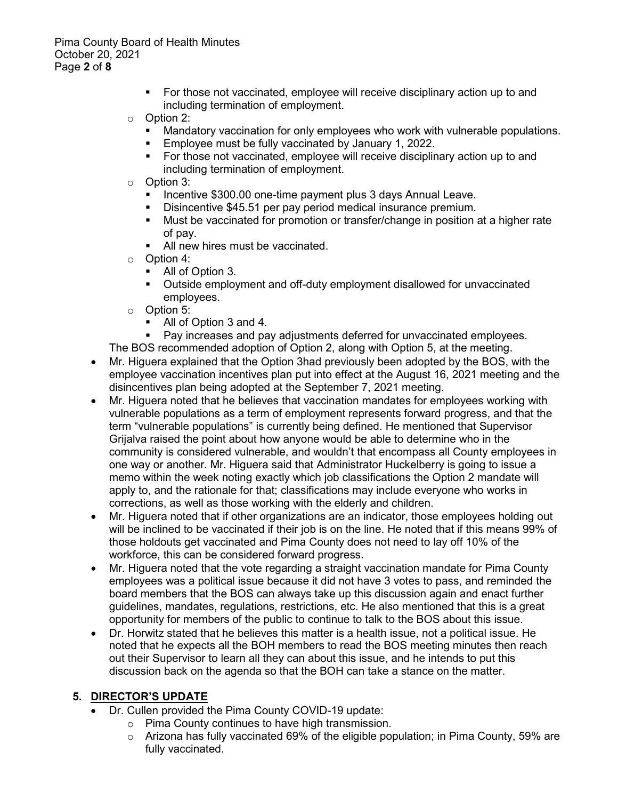Pima County Board of Health Minutes October 20, 2021 Page **2** of **8**

> For those not vaccinated, employee will receive disciplinary action up to and including termination of employment.

## o Option 2:

- Mandatory vaccination for only employees who work with vulnerable populations.<br>Employee must be fully vaccinated by January 1, 2022.
- Employee must be fully vaccinated by January 1, 2022.
- For those not vaccinated, employee will receive disciplinary action up to and including termination of employment.
- o Option 3:
	- Incentive \$300.00 one-time payment plus 3 days Annual Leave.
	- Disincentive \$45.51 per pay period medical insurance premium.
	- Must be vaccinated for promotion or transfer/change in position at a higher rate of pay.
	- All new hires must be vaccinated.
- $\circ$  Option 4:<br>All of 0
	- All of Option 3.
	- Outside employment and off-duty employment disallowed for unvaccinated employees.
- $\circ$  Option 5:<br>All of
	- All of Option 3 and 4.
	- Pay increases and pay adjustments deferred for unvaccinated employees.
- The BOS recommended adoption of Option 2, along with Option 5, at the meeting.
- Mr. Higuera explained that the Option 3had previously been adopted by the BOS, with the employee vaccination incentives plan put into effect at the August 16, 2021 meeting and the disincentives plan being adopted at the September 7, 2021 meeting.
- Mr. Higuera noted that he believes that vaccination mandates for employees working with vulnerable populations as a term of employment represents forward progress, and that the term "vulnerable populations" is currently being defined. He mentioned that Supervisor Grijalva raised the point about how anyone would be able to determine who in the community is considered vulnerable, and wouldn't that encompass all County employees in one way or another. Mr. Higuera said that Administrator Huckelberry is going to issue a memo within the week noting exactly which job classifications the Option 2 mandate will apply to, and the rationale for that; classifications may include everyone who works in corrections, as well as those working with the elderly and children.
- Mr. Higuera noted that if other organizations are an indicator, those employees holding out will be inclined to be vaccinated if their job is on the line. He noted that if this means 99% of those holdouts get vaccinated and Pima County does not need to lay off 10% of the workforce, this can be considered forward progress.
- Mr. Higuera noted that the vote regarding a straight vaccination mandate for Pima County employees was a political issue because it did not have 3 votes to pass, and reminded the board members that the BOS can always take up this discussion again and enact further guidelines, mandates, regulations, restrictions, etc. He also mentioned that this is a great opportunity for members of the public to continue to talk to the BOS about this issue.
- Dr. Horwitz stated that he believes this matter is a health issue, not a political issue. He noted that he expects all the BOH members to read the BOS meeting minutes then reach out their Supervisor to learn all they can about this issue, and he intends to put this discussion back on the agenda so that the BOH can take a stance on the matter.

## **5. DIRECTOR'S UPDATE**

- Dr. Cullen provided the Pima County COVID-19 update:
	- o Pima County continues to have high transmission.
	- $\circ$  Arizona has fully vaccinated 69% of the eligible population; in Pima County, 59% are fully vaccinated.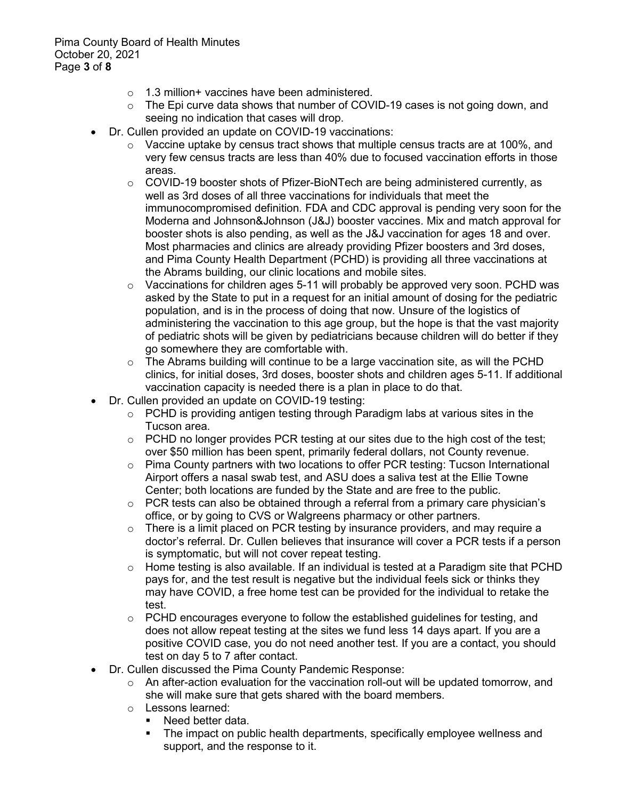Pima County Board of Health Minutes October 20, 2021 Page **3** of **8**

- $\circ$  1.3 million+ vaccines have been administered.
- o The Epi curve data shows that number of COVID-19 cases is not going down, and seeing no indication that cases will drop.
- Dr. Cullen provided an update on COVID-19 vaccinations:
	- o Vaccine uptake by census tract shows that multiple census tracts are at 100%, and very few census tracts are less than 40% due to focused vaccination efforts in those areas.
	- $\circ$  COVID-19 booster shots of Pfizer-BioNTech are being administered currently, as well as 3rd doses of all three vaccinations for individuals that meet the immunocompromised definition. FDA and CDC approval is pending very soon for the Moderna and Johnson&Johnson (J&J) booster vaccines. Mix and match approval for booster shots is also pending, as well as the J&J vaccination for ages 18 and over. Most pharmacies and clinics are already providing Pfizer boosters and 3rd doses, and Pima County Health Department (PCHD) is providing all three vaccinations at the Abrams building, our clinic locations and mobile sites.
	- $\circ$  Vaccinations for children ages 5-11 will probably be approved very soon. PCHD was asked by the State to put in a request for an initial amount of dosing for the pediatric population, and is in the process of doing that now. Unsure of the logistics of administering the vaccination to this age group, but the hope is that the vast majority of pediatric shots will be given by pediatricians because children will do better if they go somewhere they are comfortable with.
	- $\circ$  The Abrams building will continue to be a large vaccination site, as will the PCHD clinics, for initial doses, 3rd doses, booster shots and children ages 5-11. If additional vaccination capacity is needed there is a plan in place to do that.
- Dr. Cullen provided an update on COVID-19 testing:
	- $\circ$  PCHD is providing antigen testing through Paradigm labs at various sites in the Tucson area.
	- $\circ$  PCHD no longer provides PCR testing at our sites due to the high cost of the test; over \$50 million has been spent, primarily federal dollars, not County revenue.
	- $\circ$  Pima County partners with two locations to offer PCR testing: Tucson International Airport offers a nasal swab test, and ASU does a saliva test at the Ellie Towne Center; both locations are funded by the State and are free to the public.
	- $\circ$  PCR tests can also be obtained through a referral from a primary care physician's office, or by going to CVS or Walgreens pharmacy or other partners.
	- $\circ$  There is a limit placed on PCR testing by insurance providers, and may require a doctor's referral. Dr. Cullen believes that insurance will cover a PCR tests if a person is symptomatic, but will not cover repeat testing.
	- o Home testing is also available. If an individual is tested at a Paradigm site that PCHD pays for, and the test result is negative but the individual feels sick or thinks they may have COVID, a free home test can be provided for the individual to retake the test.
	- $\circ$  PCHD encourages everyone to follow the established guidelines for testing, and does not allow repeat testing at the sites we fund less 14 days apart. If you are a positive COVID case, you do not need another test. If you are a contact, you should test on day 5 to 7 after contact.
- Dr. Cullen discussed the Pima County Pandemic Response:
	- $\circ$  An after-action evaluation for the vaccination roll-out will be updated tomorrow, and she will make sure that gets shared with the board members.
	- o Lessons learned:<br>■ Need better d
		- Need better data.<br>■ The impact on pul
		- The impact on public health departments, specifically employee wellness and support, and the response to it.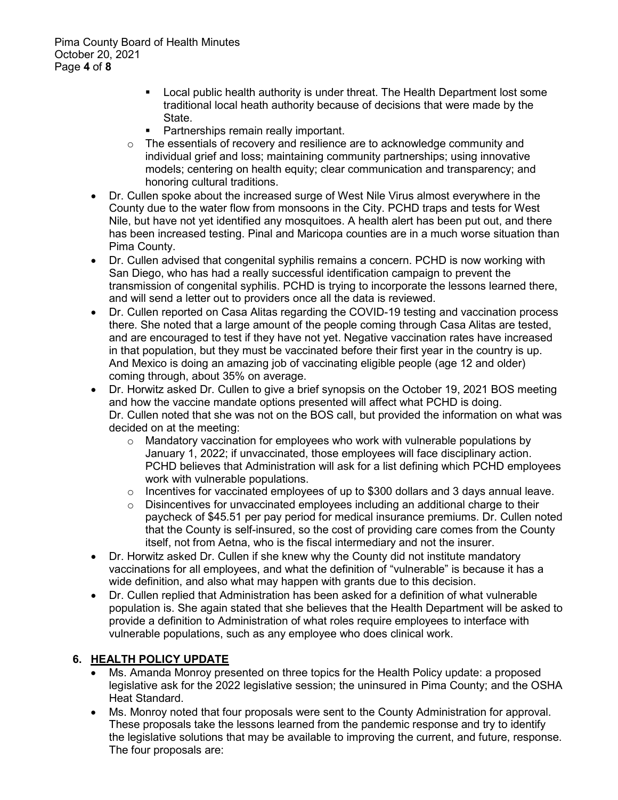- Local public health authority is under threat. The Health Department lost some traditional local heath authority because of decisions that were made by the State.
- **Partnerships remain really important.**
- $\circ$  The essentials of recovery and resilience are to acknowledge community and individual grief and loss; maintaining community partnerships; using innovative models; centering on health equity; clear communication and transparency; and honoring cultural traditions.
- Dr. Cullen spoke about the increased surge of West Nile Virus almost everywhere in the County due to the water flow from monsoons in the City. PCHD traps and tests for West Nile, but have not yet identified any mosquitoes. A health alert has been put out, and there has been increased testing. Pinal and Maricopa counties are in a much worse situation than Pima County.
- Dr. Cullen advised that congenital syphilis remains a concern. PCHD is now working with San Diego, who has had a really successful identification campaign to prevent the transmission of congenital syphilis. PCHD is trying to incorporate the lessons learned there, and will send a letter out to providers once all the data is reviewed.
- Dr. Cullen reported on Casa Alitas regarding the COVID-19 testing and vaccination process there. She noted that a large amount of the people coming through Casa Alitas are tested, and are encouraged to test if they have not yet. Negative vaccination rates have increased in that population, but they must be vaccinated before their first year in the country is up. And Mexico is doing an amazing job of vaccinating eligible people (age 12 and older) coming through, about 35% on average.
- Dr. Horwitz asked Dr. Cullen to give a brief synopsis on the October 19, 2021 BOS meeting and how the vaccine mandate options presented will affect what PCHD is doing. Dr. Cullen noted that she was not on the BOS call, but provided the information on what was decided on at the meeting:
	- $\circ$  Mandatory vaccination for employees who work with vulnerable populations by January 1, 2022; if unvaccinated, those employees will face disciplinary action. PCHD believes that Administration will ask for a list defining which PCHD employees work with vulnerable populations.
	- $\circ$  Incentives for vaccinated employees of up to \$300 dollars and 3 days annual leave.<br> $\circ$  Disincentives for unvaccinated emplovees including an additional charge to their
	- Disincentives for unvaccinated employees including an additional charge to their paycheck of \$45.51 per pay period for medical insurance premiums. Dr. Cullen noted that the County is self-insured, so the cost of providing care comes from the County itself, not from Aetna, who is the fiscal intermediary and not the insurer.
- Dr. Horwitz asked Dr. Cullen if she knew why the County did not institute mandatory vaccinations for all employees, and what the definition of "vulnerable" is because it has a wide definition, and also what may happen with grants due to this decision.
- Dr. Cullen replied that Administration has been asked for a definition of what vulnerable population is. She again stated that she believes that the Health Department will be asked to provide a definition to Administration of what roles require employees to interface with vulnerable populations, such as any employee who does clinical work.

## **6. HEALTH POLICY UPDATE**

- Ms. Amanda Monroy presented on three topics for the Health Policy update: a proposed legislative ask for the 2022 legislative session; the uninsured in Pima County; and the OSHA Heat Standard.
- Ms. Monroy noted that four proposals were sent to the County Administration for approval. These proposals take the lessons learned from the pandemic response and try to identify the legislative solutions that may be available to improving the current, and future, response. The four proposals are: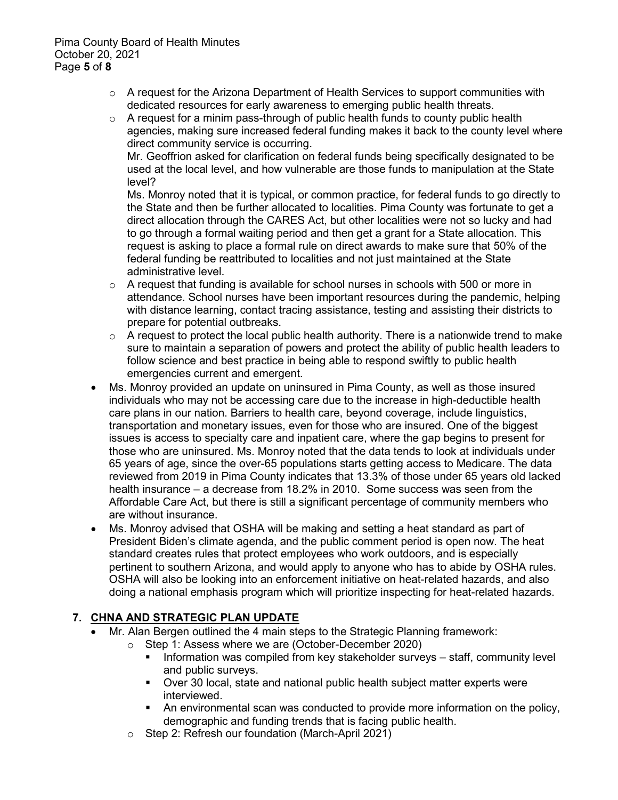- $\circ$  A request for the Arizona Department of Health Services to support communities with dedicated resources for early awareness to emerging public health threats.
- $\circ$  A request for a minim pass-through of public health funds to county public health agencies, making sure increased federal funding makes it back to the county level where direct community service is occurring.

Mr. Geoffrion asked for clarification on federal funds being specifically designated to be used at the local level, and how vulnerable are those funds to manipulation at the State level?

Ms. Monroy noted that it is typical, or common practice, for federal funds to go directly to the State and then be further allocated to localities. Pima County was fortunate to get a direct allocation through the CARES Act, but other localities were not so lucky and had to go through a formal waiting period and then get a grant for a State allocation. This request is asking to place a formal rule on direct awards to make sure that 50% of the federal funding be reattributed to localities and not just maintained at the State administrative level.

- o A request that funding is available for school nurses in schools with 500 or more in attendance. School nurses have been important resources during the pandemic, helping with distance learning, contact tracing assistance, testing and assisting their districts to prepare for potential outbreaks.
- $\circ$  A request to protect the local public health authority. There is a nationwide trend to make sure to maintain a separation of powers and protect the ability of public health leaders to follow science and best practice in being able to respond swiftly to public health emergencies current and emergent.
- Ms. Monroy provided an update on uninsured in Pima County, as well as those insured individuals who may not be accessing care due to the increase in high-deductible health care plans in our nation. Barriers to health care, beyond coverage, include linguistics, transportation and monetary issues, even for those who are insured. One of the biggest issues is access to specialty care and inpatient care, where the gap begins to present for those who are uninsured. Ms. Monroy noted that the data tends to look at individuals under 65 years of age, since the over-65 populations starts getting access to Medicare. The data reviewed from 2019 in Pima County indicates that 13.3% of those under 65 years old lacked health insurance – a decrease from 18.2% in 2010. Some success was seen from the Affordable Care Act, but there is still a significant percentage of community members who are without insurance.
- Ms. Monroy advised that OSHA will be making and setting a heat standard as part of President Biden's climate agenda, and the public comment period is open now. The heat standard creates rules that protect employees who work outdoors, and is especially pertinent to southern Arizona, and would apply to anyone who has to abide by OSHA rules. OSHA will also be looking into an enforcement initiative on heat-related hazards, and also doing a national emphasis program which will prioritize inspecting for heat-related hazards.

# **7. CHNA AND STRATEGIC PLAN UPDATE**

- Mr. Alan Bergen outlined the 4 main steps to the Strategic Planning framework:
	- o Step 1: Assess where we are (October-December 2020)
		- **Information was compiled from key stakeholder surveys staff, community level** and public surveys.
		- Over 30 local, state and national public health subject matter experts were interviewed.
		- An environmental scan was conducted to provide more information on the policy, demographic and funding trends that is facing public health.
		- o Step 2: Refresh our foundation (March-April 2021)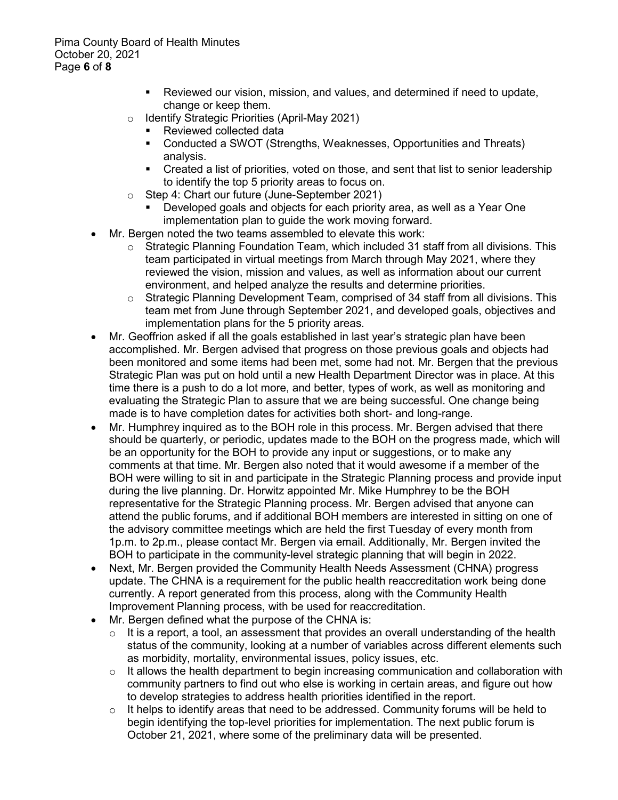- Reviewed our vision, mission, and values, and determined if need to update, change or keep them.
- o Identify Strategic Priorities (April-May 2021)
	- Reviewed collected data
	- Conducted a SWOT (Strengths, Weaknesses, Opportunities and Threats) analysis.
	- Created a list of priorities, voted on those, and sent that list to senior leadership to identify the top 5 priority areas to focus on.
- o Step 4: Chart our future (June-September 2021)
	- Developed goals and objects for each priority area, as well as a Year One implementation plan to guide the work moving forward.
- Mr. Bergen noted the two teams assembled to elevate this work:
	- $\circ$  Strategic Planning Foundation Team, which included 31 staff from all divisions. This team participated in virtual meetings from March through May 2021, where they reviewed the vision, mission and values, as well as information about our current environment, and helped analyze the results and determine priorities.
	- $\circ$  Strategic Planning Development Team, comprised of 34 staff from all divisions. This team met from June through September 2021, and developed goals, objectives and implementation plans for the 5 priority areas.
- Mr. Geoffrion asked if all the goals established in last year's strategic plan have been accomplished. Mr. Bergen advised that progress on those previous goals and objects had been monitored and some items had been met, some had not. Mr. Bergen that the previous Strategic Plan was put on hold until a new Health Department Director was in place. At this time there is a push to do a lot more, and better, types of work, as well as monitoring and evaluating the Strategic Plan to assure that we are being successful. One change being made is to have completion dates for activities both short- and long-range.
- Mr. Humphrey inquired as to the BOH role in this process. Mr. Bergen advised that there should be quarterly, or periodic, updates made to the BOH on the progress made, which will be an opportunity for the BOH to provide any input or suggestions, or to make any comments at that time. Mr. Bergen also noted that it would awesome if a member of the BOH were willing to sit in and participate in the Strategic Planning process and provide input during the live planning. Dr. Horwitz appointed Mr. Mike Humphrey to be the BOH representative for the Strategic Planning process. Mr. Bergen advised that anyone can attend the public forums, and if additional BOH members are interested in sitting on one of the advisory committee meetings which are held the first Tuesday of every month from 1p.m. to 2p.m., please contact Mr. Bergen via email. Additionally, Mr. Bergen invited the BOH to participate in the community-level strategic planning that will begin in 2022.
- Next, Mr. Bergen provided the Community Health Needs Assessment (CHNA) progress update. The CHNA is a requirement for the public health reaccreditation work being done currently. A report generated from this process, along with the Community Health Improvement Planning process, with be used for reaccreditation.
- Mr. Bergen defined what the purpose of the CHNA is:
	- $\circ$  It is a report, a tool, an assessment that provides an overall understanding of the health status of the community, looking at a number of variables across different elements such as morbidity, mortality, environmental issues, policy issues, etc.
	- $\circ$  It allows the health department to begin increasing communication and collaboration with community partners to find out who else is working in certain areas, and figure out how to develop strategies to address health priorities identified in the report.
	- $\circ$  It helps to identify areas that need to be addressed. Community forums will be held to begin identifying the top-level priorities for implementation. The next public forum is October 21, 2021, where some of the preliminary data will be presented.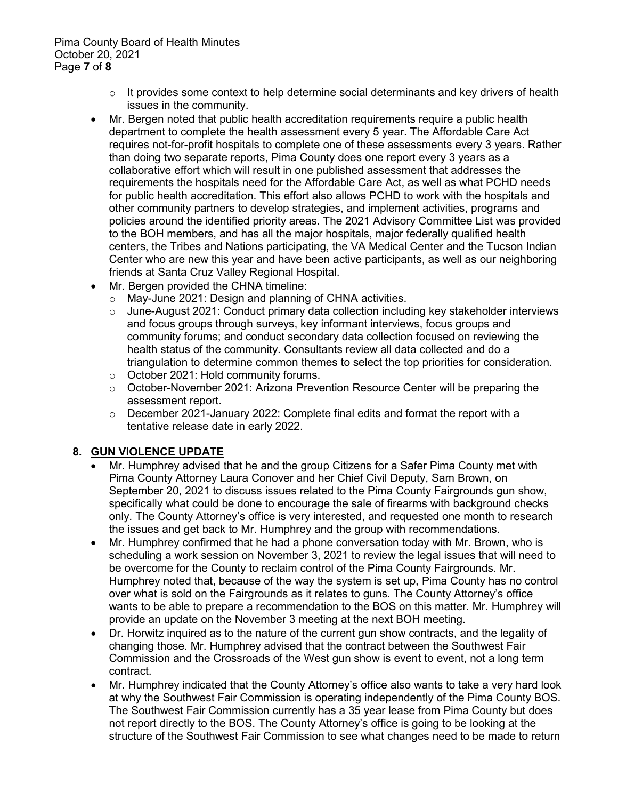Pima County Board of Health Minutes October 20, 2021 Page **7** of **8**

- $\circ$  It provides some context to help determine social determinants and key drivers of health issues in the community.
- Mr. Bergen noted that public health accreditation requirements require a public health department to complete the health assessment every 5 year. The Affordable Care Act requires not-for-profit hospitals to complete one of these assessments every 3 years. Rather than doing two separate reports, Pima County does one report every 3 years as a collaborative effort which will result in one published assessment that addresses the requirements the hospitals need for the Affordable Care Act, as well as what PCHD needs for public health accreditation. This effort also allows PCHD to work with the hospitals and other community partners to develop strategies, and implement activities, programs and policies around the identified priority areas. The 2021 Advisory Committee List was provided to the BOH members, and has all the major hospitals, major federally qualified health centers, the Tribes and Nations participating, the VA Medical Center and the Tucson Indian Center who are new this year and have been active participants, as well as our neighboring friends at Santa Cruz Valley Regional Hospital.
- Mr. Bergen provided the CHNA timeline:
	- o May-June 2021: Design and planning of CHNA activities.
	- o June-August 2021: Conduct primary data collection including key stakeholder interviews and focus groups through surveys, key informant interviews, focus groups and community forums; and conduct secondary data collection focused on reviewing the health status of the community. Consultants review all data collected and do a triangulation to determine common themes to select the top priorities for consideration.
	- o October 2021: Hold community forums.
	- $\circ$  October-November 2021: Arizona Prevention Resource Center will be preparing the assessment report.
	- $\circ$  December 2021-January 2022: Complete final edits and format the report with a tentative release date in early 2022.

### **8. GUN VIOLENCE UPDATE**

- Mr. Humphrey advised that he and the group Citizens for a Safer Pima County met with Pima County Attorney Laura Conover and her Chief Civil Deputy, Sam Brown, on September 20, 2021 to discuss issues related to the Pima County Fairgrounds gun show, specifically what could be done to encourage the sale of firearms with background checks only. The County Attorney's office is very interested, and requested one month to research the issues and get back to Mr. Humphrey and the group with recommendations.
- Mr. Humphrey confirmed that he had a phone conversation today with Mr. Brown, who is scheduling a work session on November 3, 2021 to review the legal issues that will need to be overcome for the County to reclaim control of the Pima County Fairgrounds. Mr. Humphrey noted that, because of the way the system is set up, Pima County has no control over what is sold on the Fairgrounds as it relates to guns. The County Attorney's office wants to be able to prepare a recommendation to the BOS on this matter. Mr. Humphrey will provide an update on the November 3 meeting at the next BOH meeting.
- Dr. Horwitz inquired as to the nature of the current gun show contracts, and the legality of changing those. Mr. Humphrey advised that the contract between the Southwest Fair Commission and the Crossroads of the West gun show is event to event, not a long term contract.
- Mr. Humphrey indicated that the County Attorney's office also wants to take a very hard look at why the Southwest Fair Commission is operating independently of the Pima County BOS. The Southwest Fair Commission currently has a 35 year lease from Pima County but does not report directly to the BOS. The County Attorney's office is going to be looking at the structure of the Southwest Fair Commission to see what changes need to be made to return